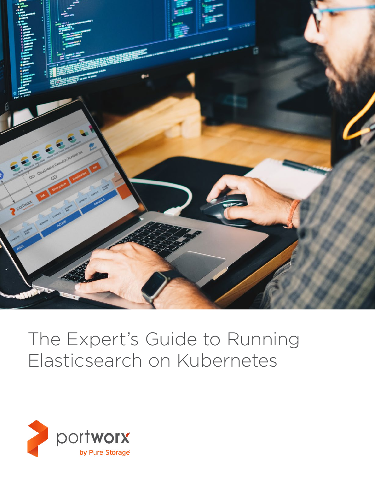

# The Expert's Guide to Running Elasticsearch on Kubernetes

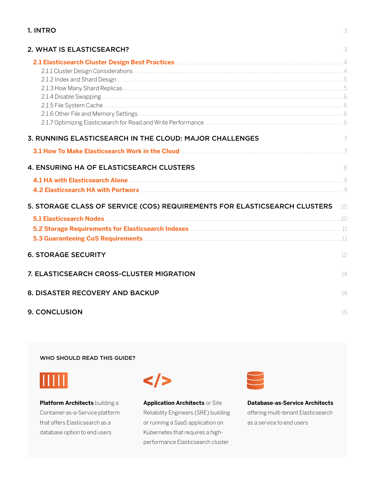## 1. INTRO

| 2. WHAT IS ELASTICSEARCH?                                                                                                                                                                                                            | 3   |
|--------------------------------------------------------------------------------------------------------------------------------------------------------------------------------------------------------------------------------------|-----|
|                                                                                                                                                                                                                                      |     |
| 3. RUNNING ELASTICSEARCH IN THE CLOUD: MAJOR CHALLENGES                                                                                                                                                                              | - 7 |
| 3.1 How To Make Elasticsearch Work in the Cloud <b>Material Constructs and Town To Make Elasticsearch Work in the Cloud</b>                                                                                                          |     |
| 4. ENSURING HA OF ELASTICSEARCH CLUSTERS                                                                                                                                                                                             | 8   |
|                                                                                                                                                                                                                                      |     |
| 4.2 Elasticsearch HA with Portworx <b>Manual According to the Contract Office</b> 9                                                                                                                                                  |     |
| 5. STORAGE CLASS OF SERVICE (COS) REQUIREMENTS FOR ELASTICSEARCH CLUSTERS 10                                                                                                                                                         |     |
|                                                                                                                                                                                                                                      |     |
| 5.2 Storage Requirements for Elasticsearch Indexes <b>Manual Community Contract Contract Contract Contract Contract Contract Contract Contract Contract Contract Contract Contract Contract Contract Contract Contract Contract </b> |     |
|                                                                                                                                                                                                                                      |     |
| <b>6. STORAGE SECURITY</b>                                                                                                                                                                                                           | 12  |
| 7. ELASTICSEARCH CROSS-CLUSTER MIGRATION                                                                                                                                                                                             | 14  |
| 8. DISASTER RECOVERY AND BACKUP                                                                                                                                                                                                      | 14  |
| 9. CONCLUSION                                                                                                                                                                                                                        | 15  |

WHO SHOULD READ THIS GUIDE?



Platform Architects building a Container-as-a-Service platform that offers Elasticsearch as a database option to end users

 $\lt/$ 

**Application Architects or Site** Reliability Engineers (SRE) building or running a SaaS application on Kubernetes that requires a highperformance Elasticsearch cluster



**Database-as-Service Architects** offering multi-tenant Elasticsearch as a service to end users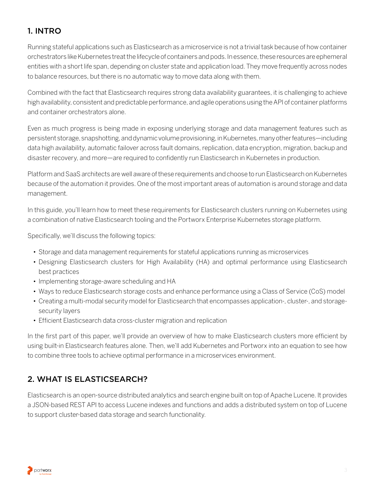# <span id="page-2-0"></span>1. INTRO

Running stateful applications such as Elasticsearch as a microservice is not a trivial task because of how container orchestrators like Kubernetes treat the lifecycle of containers and pods. In essence, these resources are ephemeral entities with a short life span, depending on cluster state and application load. They move frequently across nodes to balance resources, but there is no automatic way to move data along with them.

Combined with the fact that Elasticsearch requires strong data availability guarantees, it is challenging to achieve high availability, consistent and predictable performance, and agile operations using the API of container platforms and container orchestrators alone.

Even as much progress is being made in exposing underlying storage and data management features such as persistent storage, snapshotting, and dynamic volume provisioning, in Kubernetes, many other features—including data high availability, automatic failover across fault domains, replication, data encryption, migration, backup and disaster recovery, and more—are required to confidently run Elasticsearch in Kubernetes in production.

Platform and SaaS architects are well aware of these requirements and choose to run Elasticsearch on Kubernetes because of the automation it provides. One of the most important areas of automation is around storage and data management.

In this guide, you'll learn how to meet these requirements for Elasticsearch clusters running on Kubernetes using a combination of native Elasticsearch tooling and the Portworx Enterprise Kubernetes storage platform.

Specifically, we'll discuss the following topics:

- Storage and data management requirements for stateful applications running as microservices
- Designing Elasticsearch clusters for High Availability (HA) and optimal performance using Elasticsearch best practices
- Implementing storage-aware scheduling and HA
- Ways to reduce Elasticsearch storage costs and enhance performance using a Class of Service (CoS) model
- Creating a multi-modal security model for Elasticsearch that encompasses application-, cluster-, and storagesecurity layers
- Efficient Elasticsearch data cross-cluster migration and replication

In the first part of this paper, we'll provide an overview of how to make Elasticsearch clusters more efficient by using built-in Elasticsearch features alone. Then, we'll add Kubernetes and Portworx into an equation to see how to combine three tools to achieve optimal performance in a microservices environment.

# 2. WHAT IS ELASTICSEARCH?

Elasticsearch is an open-source distributed analytics and search engine built on top of Apache Lucene. It provides a JSON-based REST API to access Lucene indexes and functions and adds a distributed system on top of Lucene to support cluster-based data storage and search functionality.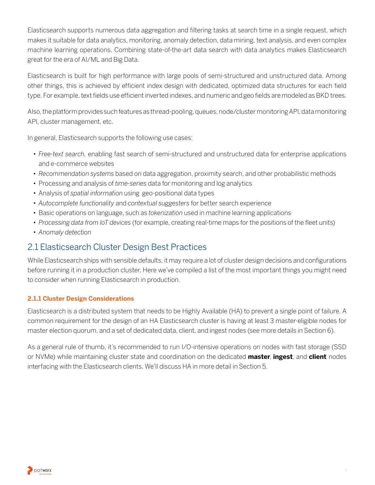<span id="page-3-0"></span>Elasticsearch supports numerous data aggregation and filtering tasks at search time in a single request, which makes it suitable for data analytics, monitoring, anomaly detection, data mining, text analysis, and even complex machine learning operations. Combining state-of-the-art data search with data analytics makes Elasticsearch great for the era of AI/ML and Big Data.

Elasticsearch is built for high performance with large pools of semi-structured and unstructured data. Among other things, this is achieved by efficient index design with dedicated, optimized data structures for each field type. For example, text fields use efficient inverted indexes, and numeric and geo fields are modeled as BKD trees.

Also, the platform provides such features as thread-pooling, queues, node/cluster monitoring API, data monitoring API, cluster management, etc.

In general, Elasticsearch supports the following use cases:

- *Free-text search,* enabling fast search of semi-structured and unstructured data for enterprise applications and e-commerce websites
- *Recommendation systems* based on data aggregation, proximity search, and other probabilistic methods
- Processing and analysis of *time-series* data for monitoring and log analytics
- Analysis of *spatial information* using geo-positional data types
- *Autocomplete functionality* and *contextual suggesters* for better search experience
- Basic operations on language, such as *tokenization* used in machine learning applications
- *Processing data from IoT devices* (for example, creating real-time maps for the positions of the fleet units)
- *Anomaly detection*

# 2.1 Elasticsearch Cluster Design Best Practices

While Elasticsearch ships with sensible defaults, it may require a lot of cluster design decisions and configurations before running it in a production cluster. Here we've compiled a list of the most important things you might need to consider when running Elasticsearch in production.

## **2.1.1 Cluster Design Considerations**

Elasticsearch is a distributed system that needs to be Highly Available (HA) to prevent a single point of failure. A common requirement for the design of an HA Elasticsearch cluster is having at least 3 master-eligible nodes for master election quorum, and a set of dedicated data, client, and ingest nodes (see more details in Section 6).

As a general rule of thumb, it's recommended to run I/O-intensive operations on nodes with fast storage (SSD or NVMe) while maintaining cluster state and coordination on the dedicated **master**, **ingest**, and **client** nodes interfacing with the Elasticsearch clients. We'll discuss HA in more detail in Section 5.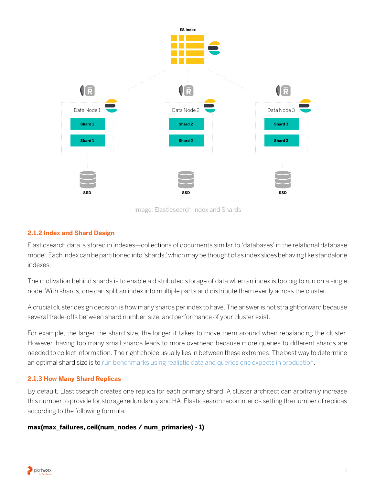<span id="page-4-0"></span>

Image: Elasticsearch Index and Shards

#### **2.1.2 Index and Shard Design**

Elasticsearch data is stored in indexes—collections of documents similar to 'databases' in the relational database model. Each index can be partitioned into 'shards,' which may be thought of as index slices behaving like standalone indexes.

The motivation behind shards is to enable a distributed storage of data when an index is too big to run on a single node. With shards, one can split an index into multiple parts and distribute them evenly across the cluster.

A crucial cluster design decision is how many shards per index to have. The answer is not straightforward because several trade-offs between shard number, size, and performance of your cluster exist.

For example, the larger the shard size, the longer it takes to move them around when rebalancing the cluster. However, having too many small shards leads to more overhead because more queries to different shards are needed to collect information. The right choice usually lies in between these extremes. The best way to determine an optimal shard size is to [run benchmarks using realistic data and queries one expects in production.](https://www.elastic.co/blog/how-many-shards-should-i-have-in-my-elasticsearch-cluster)

#### **2.1.3 How Many Shard Replicas**

By default, Elasticsearch creates one replica for each primary shard. A cluster architect can arbitrarily increase this number to provide for storage redundancy and HA. Elasticsearch recommends setting the number of replicas according to the following formula:

#### **max(max\_failures, ceil(num\_nodes / num\_primaries) - 1)**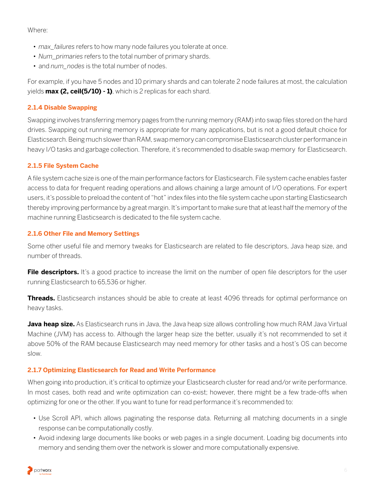<span id="page-5-0"></span>Where:

- *max\_failures* refers to how many node failures you tolerate at once.
- *Num\_primaries* refers to the total number of primary shards.
- and *num\_nodes* is the total number of nodes.

For example, if you have 5 nodes and 10 primary shards and can tolerate 2 node failures at most, the calculation yields **max (2, ceil(5/10) - 1)**, which is 2 replicas for each shard.

## **2.1.4 Disable Swapping**

Swapping involves transferring memory pages from the running memory (RAM) into swap files stored on the hard drives. Swapping out running memory is appropriate for many applications, but is not a good default choice for Elasticsearch. Being much slower than RAM, swap memory can compromise Elasticsearch cluster performance in heavy I/O tasks and garbage collection. Therefore, it's recommended to disable swap memory for Elasticsearch.

## **2.1.5 File System Cache**

A file system cache size is one of the main performance factors for Elasticsearch. File system cache enables faster access to data for frequent reading operations and allows chaining a large amount of I/O operations. For expert users, it's possible to preload the content of "hot" index files into the file system cache upon starting Elasticsearch thereby improving performance by a great margin. It's important to make sure that at least half the memory of the machine running Elasticsearch is dedicated to the file system cache.

## **2.1.6 Other File and Memory Settings**

Some other useful file and memory tweaks for Elasticsearch are related to file descriptors, Java heap size, and number of threads.

**File descriptors.** It's a good practice to increase the limit on the number of open file descriptors for the user running Elasticsearch to 65,536 or higher.

**Threads.** Elasticsearch instances should be able to create at least 4096 threads for optimal performance on heavy tasks.

**Java heap size.** As Elasticsearch runs in Java, the Java heap size allows controlling how much RAM Java Virtual Machine (JVM) has access to. Although the larger heap size the better, usually it's not recommended to set it above 50% of the RAM because Elasticsearch may need memory for other tasks and a host's OS can become slow.

## **2.1.7 Optimizing Elasticsearch for Read and Write Performance**

When going into production, it's critical to optimize your Elasticsearch cluster for read and/or write performance. In most cases, both read and write optimization can co-exist; however, there might be a few trade-offs when optimizing for one or the other. If you want to tune for read performance it's recommended to:

- Use Scroll API, which allows paginating the response data. Returning all matching documents in a single response can be computationally costly.
- Avoid indexing large documents like books or web pages in a single document. Loading big documents into memory and sending them over the network is slower and more computationally expensive.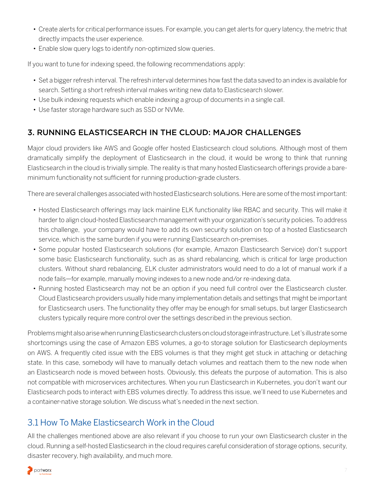- <span id="page-6-0"></span>• Create alerts for critical performance issues. For example, you can get alerts for query latency, the metric that directly impacts the user experience.
- Enable slow query logs to identify non-optimized slow queries.

If you want to tune for indexing speed, the following recommendations apply:

- Set a bigger refresh interval. The refresh interval determines how fast the data saved to an index is available for search. Setting a short refresh interval makes writing new data to Elasticsearch slower.
- Use bulk indexing requests which enable indexing a group of documents in a single call.
- Use faster storage hardware such as SSD or NVMe.

# 3. RUNNING ELASTICSEARCH IN THE CLOUD: MAJOR CHALLENGES

Major cloud providers like AWS and Google offer hosted Elasticsearch cloud solutions. Although most of them dramatically simplify the deployment of Elasticsearch in the cloud, it would be wrong to think that running Elasticsearch in the cloud is trivially simple. The reality is that many hosted Elasticsearch offerings provide a bareminimum functionality not sufficient for running production-grade clusters.

There are several challenges associated with hosted Elasticsearch solutions. Here are some of the most important:

- Hosted Elasticsearch offerings may lack mainline ELK functionality like RBAC and security. This will make it harder to align cloud-hosted Elasticsearch management with your organization's security policies. To address this challenge, your company would have to add its own security solution on top of a hosted Elasticsearch service, which is the same burden if you were running Elasticsearch on-premises.
- Some popular hosted Elasticsearch solutions (for example, Amazon Elasticsearch Service) don't support some basic Elasticsearch functionality, such as as shard rebalancing, which is critical for large production clusters. Without shard rebalancing, ELK cluster administrators would need to do a lot of manual work if a node fails—for example, manually moving indexes to a new node and/or re-indexing data.
- Running hosted Elasticsearch may not be an option if you need full control over the Elasticsearch cluster. Cloud Elasticsearch providers usually hide many implementation details and settings that might be important for Elasticsearch users. The functionality they offer may be enough for small setups, but larger Elasticsearch clusters typically require more control over the settings described in the previous section.

Problems might also arise when running Elasticsearch clusters on cloud storage infrastructure. Let's illustrate some shortcomings using the case of Amazon EBS volumes, a go-to storage solution for Elasticsearch deployments on AWS. A frequently cited issue with the EBS volumes is that they might get stuck in attaching or detaching state. In this case, somebody will have to manually detach volumes and reattach them to the new node when an Elasticsearch node is moved between hosts. Obviously, this defeats the purpose of automation. This is also not compatible with microservices architectures. When you run Elasticsearch in Kubernetes, you don't want our Elasticsearch pods to interact with EBS volumes directly. To address this issue, we'll need to use Kubernetes and a container-native storage solution. We discuss what's needed in the next section.

# 3.1 How To Make Elasticsearch Work in the Cloud

All the challenges mentioned above are also relevant if you choose to run your own Elasticsearch cluster in the cloud. Running a self-hosted Elasticsearch in the cloud requires careful consideration of storage options, security, disaster recovery, high availability, and much more.

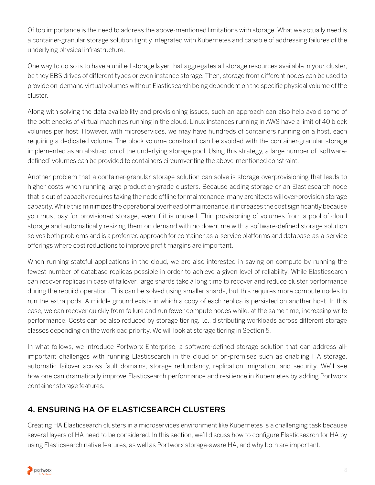<span id="page-7-0"></span>Of top importance is the need to address the above-mentioned limitations with storage. What we actually need is a container-granular storage solution tightly integrated with Kubernetes and capable of addressing failures of the underlying physical infrastructure.

One way to do so is to have a unified storage layer that aggregates all storage resources available in your cluster, be they EBS drives of different types or even instance storage. Then, storage from different nodes can be used to provide on-demand virtual volumes without Elasticsearch being dependent on the specific physical volume of the cluster.

Along with solving the data availability and provisioning issues, such an approach can also help avoid some of the bottlenecks of virtual machines running in the cloud. Linux instances running in AWS have a limit of 40 block volumes per host. However, with microservices, we may have hundreds of containers running on a host, each requiring a dedicated volume. The block volume constraint can be avoided with the container-granular storage implemented as an abstraction of the underlying storage pool. Using this strategy, a large number of 'softwaredefined' volumes can be provided to containers circumventing the above-mentioned constraint.

Another problem that a container-granular storage solution can solve is storage overprovisioning that leads to higher costs when running large production-grade clusters. Because adding storage or an Elasticsearch node that is out of capacity requires taking the node offline for maintenance, many architects will over-provision storage capacity. While this minimizes the operational overhead of maintenance, it increases the cost significantly because you must pay for provisioned storage, even if it is unused. Thin provisioning of volumes from a pool of cloud storage and automatically resizing them on demand with no downtime with a software-defined storage solution solves both problems and is a preferred approach for container-as-a-service platforms and database-as-a-service offerings where cost reductions to improve profit margins are important.

When running stateful applications in the cloud, we are also interested in saving on compute by running the fewest number of database replicas possible in order to achieve a given level of reliability. While Elasticsearch can recover replicas in case of failover, large shards take a long time to recover and reduce cluster performance during the rebuild operation. This can be solved using smaller shards, but this requires more compute nodes to run the extra pods. A middle ground exists in which a copy of each replica is persisted on another host. In this case, we can recover quickly from failure and run fewer compute nodes while, at the same time, increasing write performance. Costs can be also reduced by storage tiering, i.e., distributing workloads across different storage classes depending on the workload priority. We will look at storage tiering in Section 5.

In what follows, we introduce Portworx Enterprise, a software-defined storage solution that can address allimportant challenges with running Elasticsearch in the cloud or on-premises such as enabling HA storage, automatic failover across fault domains, storage redundancy, replication, migration, and security. We'll see how one can dramatically improve Elasticsearch performance and resilience in Kubernetes by adding Portworx container storage features.

## 4. ENSURING HA OF ELASTICSEARCH CLUSTERS

Creating HA Elasticsearch clusters in a microservices environment like Kubernetes is a challenging task because several layers of HA need to be considered. In this section, we'll discuss how to configure Elasticsearch for HA by using Elasticsearch native features, as well as Portworx storage-aware HA, and why both are important.

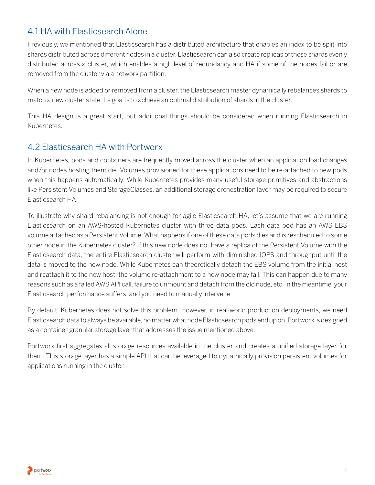# <span id="page-8-0"></span>4.1 HA with Elasticsearch Alone

Previously, we mentioned that Elasticsearch has a distributed architecture that enables an index to be split into shards distributed across different nodes in a cluster. Elasticsearch can also create replicas of these shards evenly distributed across a cluster, which enables a high level of redundancy and HA if some of the nodes fail or are removed from the cluster via a network partition.

When a new node is added or removed from a cluster, the Elasticsearch master dynamically rebalances shards to match a new cluster state. Its goal is to achieve an optimal distribution of shards in the cluster.

This HA design is a great start, but additional things should be considered when running Elasticsearch in Kubernetes.

## 4.2 Elasticsearch HA with Portworx

In Kubernetes, pods and containers are frequently moved across the cluster when an application load changes and/or nodes hosting them die. Volumes provisioned for these applications need to be re-attached to new pods when this happens automatically. While Kubernetes provides many useful storage primitives and abstractions like Persistent Volumes and StorageClasses, an additional storage orchestration layer may be required to secure Elasticsearch HA.

To illustrate why shard rebalancing is not enough for agile Elasticsearch HA, let's assume that we are running Elasticsearch on an AWS-hosted Kubernetes cluster with three data pods. Each data pod has an AWS EBS volume attached as a Persistent Volume. What happens if one of these data pods dies and is rescheduled to some other node in the Kubernetes cluster? If this new node does not have a replica of the Persistent Volume with the Elasticsearch data, the entire Elasticsearch cluster will perform with diminished IOPS and throughput until the data is moved to the new node. While Kubernetes can theoretically detach the EBS volume from the initial host and reattach it to the new host, the volume re-attachment to a new node may fail. This can happen due to many reasons such as a failed AWS API call, failure to unmount and detach from the old node, etc. In the meantime, your Elasticsearch performance suffers, and you need to manually intervene.

By default, Kubernetes does not solve this problem. However, in real-world production deployments, we need Elasticsearch data to always be available, no matter what node Elasticsearch pods end up on. Portworx is designed as a container-granular storage layer that addresses the issue mentioned above.

Portworx first aggregates all storage resources available in the cluster and creates a unified storage layer for them. This storage layer has a simple API that can be leveraged to dynamically provision persistent volumes for applications running in the cluster.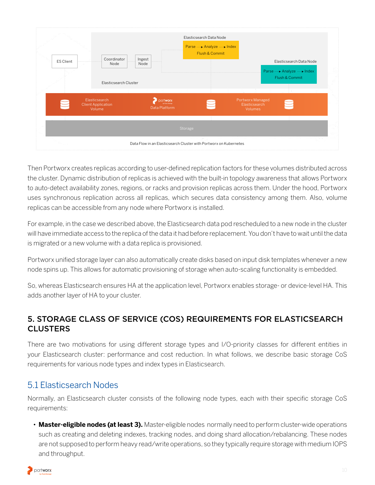<span id="page-9-0"></span>

| <b>ES Client</b> | Coordinator<br>Node<br>Elasticsearch Cluster         | Ingest<br>Node                   | Elasticsearch Data Node<br>Parse  > Analyze  > Index<br>Flush & Commit |                                                     | Elasticsearch Data Node<br>Parse ···· > Analyze ···· > Index<br>Flush & Commit |  |
|------------------|------------------------------------------------------|----------------------------------|------------------------------------------------------------------------|-----------------------------------------------------|--------------------------------------------------------------------------------|--|
|                  | Elasticsearch<br><b>Client Application</b><br>Volume | <b>DOrtworx</b><br>Data Platform |                                                                        | Portworx Managed<br>Elasticsearch<br><b>Volumes</b> |                                                                                |  |
|                  |                                                      |                                  | Storage                                                                |                                                     |                                                                                |  |
|                  |                                                      |                                  | Data Flow in an Elasticsearch Cluster with Portworx on Kubernetes      |                                                     |                                                                                |  |

Then Portworx creates replicas according to user-defined replication factors for these volumes distributed across the cluster. Dynamic distribution of replicas is achieved with the built-in topology awareness that allows Portworx to auto-detect availability zones, regions, or racks and provision replicas across them. Under the hood, Portworx uses synchronous replication across all replicas, which secures data consistency among them. Also, volume replicas can be accessible from any node where Portworx is installed.

For example, in the case we described above, the Elasticsearch data pod rescheduled to a new node in the cluster will have immediate access to the replica of the data it had before replacement. You don't have to wait until the data is migrated or a new volume with a data replica is provisioned.

Portworx unified storage layer can also automatically create disks based on input disk templates whenever a new node spins up. This allows for automatic provisioning of storage when auto-scaling functionality is embedded.

So, whereas Elasticsearch ensures HA at the application level, Portworx enables storage- or device-level HA. This adds another layer of HA to your cluster.

## 5. STORAGE CLASS OF SERVICE (COS) REQUIREMENTS FOR ELASTICSEARCH **CLUSTERS**

There are two motivations for using different storage types and I/O-priority classes for different entities in your Elasticsearch cluster: performance and cost reduction. In what follows, we describe basic storage CoS requirements for various node types and index types in Elasticsearch.

# 5.1 Elasticsearch Nodes

Normally, an Elasticsearch cluster consists of the following node types, each with their specific storage CoS requirements:

• **Master-eligible nodes (at least 3).** Master-eligible nodes normally need to perform cluster-wide operations such as creating and deleting indexes, tracking nodes, and doing shard allocation/rebalancing. These nodes are not supposed to perform heavy read/write operations, so they typically require storage with medium IOPS and throughput.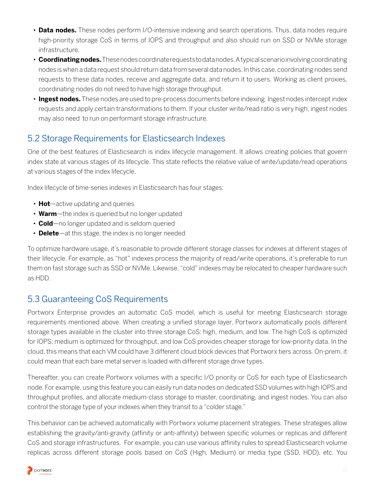- <span id="page-10-0"></span>• **Data nodes.** These nodes perform I/O-intensive indexing and search operations. Thus, data nodes require high-priority storage CoS in terms of IOPS and throughput and also should run on SSD or NVMe storage infrastructure.
- **Coordinating nodes.** These nodes coordinate requests to data nodes. A typical scenario involving coordinating nodes is when a data request should return data from several data nodes. In this case, coordinating nodes send requests to these data nodes, receive and aggregate data, and return it to users. Working as client proxies, coordinating nodes do not need to have high storage throughput.
- **Ingest nodes.** These nodes are used to pre-process documents before indexing. Ingest nodes intercept index requests and apply certain transformations to them. If your cluster write/read ratio is very high, ingest nodes may also need to run on performant storage infrastructure.

# 5.2 Storage Requirements for Elasticsearch Indexes

One of the best features of Elasticsearch is index lifecycle management. It allows creating policies that govern index state at various stages of its lifecycle. This state reflects the relative value of write/update/read operations at various stages of the index lifecycle.

Index lifecycle of time-series indexes in Elasticsearch has four stages:

- **Hot**—active updating and queries
- **Warm**—the index is queried but no longer updated
- **Cold**—no longer updated and is seldom queried
- **Delete**—at this stage, the index is no longer needed

To optimize hardware usage, it's reasonable to provide different storage classes for indexes at different stages of their lifecycle. For example, as "hot" indexes process the majority of read/write operations, it's preferable to run them on fast storage such as SSD or NVMe. Likewise, "cold" indexes may be relocated to cheaper hardware such as HDD.

# 5.3 Guaranteeing CoS Requirements

Portworx Enterprise provides an automatic CoS model, which is useful for meeting Elasticsearch storage requirements mentioned above. When creating a unified storage layer, Portworx automatically pools different storage types available in the cluster into three storage CoS: high, medium, and low. The high CoS is optimized for IOPS; medium is optimized for throughput, and low CoS provides cheaper storage for low-priority data. In the cloud, this means that each VM could have 3 different cloud block devices that Portworx tiers across. On-prem, it could mean that each bare metal server is loaded with different storage drive types.

Thereafter, you can create Portworx volumes with a specific I/O priority or CoS for each type of Elasticsearch node. For example, using this feature you can easily run data nodes on dedicated SSD volumes with high IOPS and throughput profiles, and allocate medium-class storage to master, coordinating, and ingest nodes. You can also control the storage type of your indexes when they transit to a "colder stage."

This behavior can be achieved automatically with Portworx volume placement strategies. These strategies allow establishing the gravity/anti-gravity (affinity or anti-affinity) between specific volumes or replicas and different CoS and storage infrastructures. For example, you can use various affinity rules to spread Elasticsearch volume replicas across different storage pools based on CoS (High, Medium) or media type (SSD, HDD), etc. You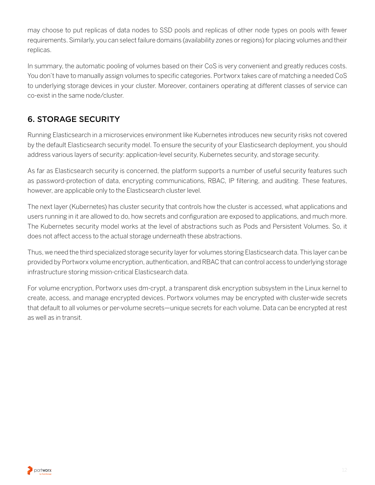<span id="page-11-0"></span>may choose to put replicas of data nodes to SSD pools and replicas of other node types on pools with fewer requirements. Similarly, you can select failure domains (availability zones or regions) for placing volumes and their replicas.

In summary, the automatic pooling of volumes based on their CoS is very convenient and greatly reduces costs. You don't have to manually assign volumes to specific categories. Portworx takes care of matching a needed CoS to underlying storage devices in your cluster. Moreover, containers operating at different classes of service can co-exist in the same node/cluster.

# 6. STORAGE SECURITY

Running Elasticsearch in a microservices environment like Kubernetes introduces new security risks not covered by the default Elasticsearch security model. To ensure the security of your Elasticsearch deployment, you should address various layers of security: application-level security, Kubernetes security, and storage security.

As far as Elasticsearch security is concerned, the platform supports a number of useful security features such as password-protection of data, encrypting communications, RBAC, IP filtering, and auditing. These features, however, are applicable only to the Elasticsearch cluster level.

The next layer (Kubernetes) has cluster security that controls how the cluster is accessed, what applications and users running in it are allowed to do, how secrets and configuration are exposed to applications, and much more. The Kubernetes security model works at the level of abstractions such as Pods and Persistent Volumes. So, it does not affect access to the actual storage underneath these abstractions.

Thus, we need the third specialized storage security layer for volumes storing Elasticsearch data. This layer can be provided by Portworx volume encryption, authentication, and RBAC that can control access to underlying storage infrastructure storing mission-critical Elasticsearch data.

For volume encryption, Portworx uses dm-crypt, a transparent disk encryption subsystem in the Linux kernel to create, access, and manage encrypted devices. Portworx volumes may be encrypted with cluster-wide secrets that default to all volumes or per-volume secrets—unique secrets for each volume. Data can be encrypted at rest as well as in transit.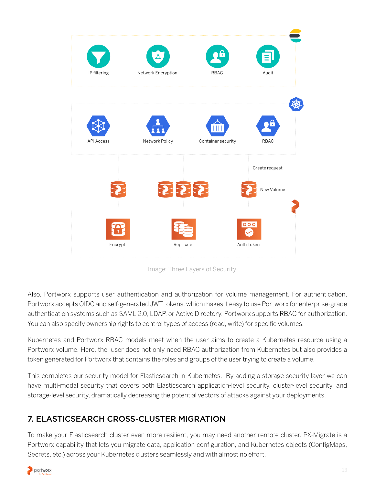

Image: Three Layers of Security

Also, Portworx supports user authentication and authorization for volume management. For authentication, Portworx accepts OIDC and self-generated JWT tokens, which makes it easy to use Portworx for enterprise-grade authentication systems such as SAML 2.0, LDAP, or Active Directory. Portworx supports RBAC for authorization. You can also specify ownership rights to control types of access (read, write) for specific volumes.

Kubernetes and Portworx RBAC models meet when the user aims to create a Kubernetes resource using a Portworx volume. Here, the user does not only need RBAC authorization from Kubernetes but also provides a token generated for Portworx that contains the roles and groups of the user trying to create a volume.

This completes our security model for Elasticsearch in Kubernetes. By adding a storage security layer we can have multi-modal security that covers both Elasticsearch application-level security, cluster-level security, and storage-level security, dramatically decreasing the potential vectors of attacks against your deployments.

# 7. ELASTICSEARCH CROSS-CLUSTER MIGRATION

To make your Elasticsearch cluster even more resilient, you may need another remote cluster. PX-Migrate is a Portworx capability that lets you migrate data, application configuration, and Kubernetes objects (ConfigMaps, Secrets, etc.) across your Kubernetes clusters seamlessly and with almost no effort.

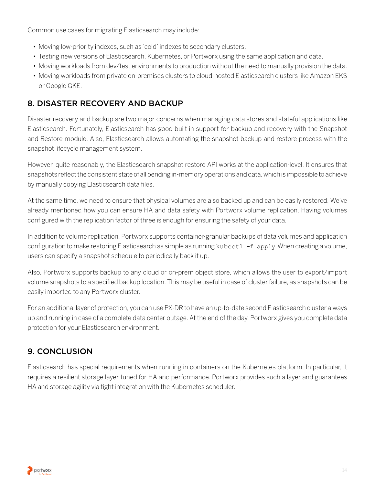<span id="page-13-0"></span>Common use cases for migrating Elasticsearch may include:

- Moving low-priority indexes, such as 'cold' indexes to secondary clusters.
- Testing new versions of Elasticsearch, Kubernetes, or Portworx using the same application and data.
- Moving workloads from dev/test environments to production without the need to manually provision the data.
- Moving workloads from private on-premises clusters to cloud-hosted Elasticsearch clusters like Amazon EKS or Google GKE.

## 8. DISASTER RECOVERY AND BACKUP

Disaster recovery and backup are two major concerns when managing data stores and stateful applications like Elasticsearch. Fortunately, Elasticsearch has good built-in support for backup and recovery with the Snapshot and Restore module. Also, Elasticsearch allows automating the snapshot backup and restore process with the snapshot lifecycle management system.

However, quite reasonably, the Elasticsearch snapshot restore API works at the application-level. It ensures that snapshots reflect the consistent state of all pending in-memory operations and data, which is impossible to achieve by manually copying Elasticsearch data files.

At the same time, we need to ensure that physical volumes are also backed up and can be easily restored. We've already mentioned how you can ensure HA and data safety with Portworx volume replication. Having volumes configured with the replication factor of three is enough for ensuring the safety of your data.

In addition to volume replication, Portworx supports container-granular backups of data volumes and application configuration to make restoring Elasticsearch as simple as running kubect1 -f apply. When creating a volume, users can specify a snapshot schedule to periodically back it up.

Also, Portworx supports backup to any cloud or on-prem object store, which allows the user to export/import volume snapshots to a specified backup location. This may be useful in case of cluster failure, as snapshots can be easily imported to any Portworx cluster.

For an additional layer of protection, you can use PX-DR to have an up-to-date second Elasticsearch cluster always up and running in case of a complete data center outage. At the end of the day, Portworx gives you complete data protection for your Elasticsearch environment.

# 9. CONCLUSION

Elasticsearch has special requirements when running in containers on the Kubernetes platform. In particular, it requires a resilient storage layer tuned for HA and performance. Portworx provides such a layer and guarantees HA and storage agility via tight integration with the Kubernetes scheduler.